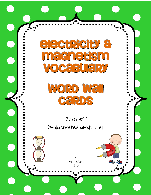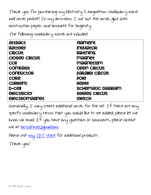Thank you for purchasing my Electricity & Magnetism Vocabulary word wall cards packet! In my classroom, I cut out the cards, glue onto construction paper, and laminate for longevity.

The following vocabulary words are included:

| <b><i><u>attract</u></i></b>     | <b>filament</b>          |
|----------------------------------|--------------------------|
| <b>Battery</b>                   | <b>insulator</b>         |
| <b>CIRCUIT</b>                   | <b>ligHtNiNG</b>         |
| <b>CIOSED CIRCUIT</b>            | magnet                   |
| <b>COI</b>                       | magnetism                |
| compass                          | <b>OPEN CIRCUIT</b>      |
| <b>CONDUCTOR</b>                 | <b>PARAIIEI CIRCUIT</b>  |
| <b>CORE</b>                      | pole                     |
| <b>CURRENT</b>                   | <b>REPEI</b>             |
| <b>D-Cell</b>                    | <b>SCHEMAtic DiaGRAM</b> |
| <b><i><u>CIECTRICITY</u></i></b> | <b>SERIES CIRCUIT</b>    |
| <b>electromagnet</b>             | <b>SWitCH</b>            |
|                                  |                          |

Occasionally, I may create additional cards for the set. If there are any specific vocabulary terms that you would like to see added, please let me know via email. If you have any questions or comments, please contact me at [MrsLeFave@gmail.com.](mailto:MrsLeFave@gmail.com)

Please visit <u>my TpT store</u> for additional products.

Thank you!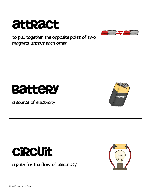

to pull together; the opposite poles of two magnets attract each other



a source of electricity





a path for the flow of electricity

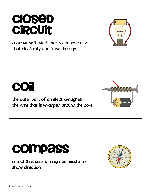#### © 2013 Anette LeFave

a tool that uses a magnetic needle to show direction

**compass** 

# **COI**

the outer part of an electromagnet; the wire that is wrapped around the core

## Closed circuit

a circuit with all its parts connected so that electricity can flow through





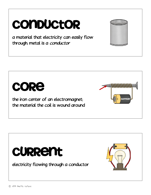# **CONDUCTOR**

a material that electricity can easily flow through; metal is a conductor



the iron center of an electromagnet; the material the coil is wound around



electricity flowing through a conductor





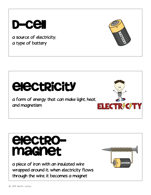#### D-cell

a source of electricity; a type of battery

# *<u>Electricity</u>*

a form of energy that can make light, heat, and magnetism



# Electromagnet

a piece of iron with an insulated wire wrapped around it; when electricity flows through the wire, it becomes a magnet

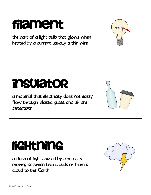#### the part of a light bulb that glows when heated by a current; usually a thin wire

Filament

# Insulator

a material that electricity does not easily flow through; plastic, glass, and air are insulators

# Lightning

a flash of light caused by electricity moving between two clouds or from a cloud to the Earth





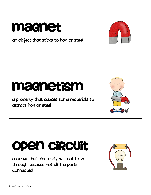## Magnet

an object that sticks to iron or steel

# Magnetism

a property that causes some materials to attract iron or steel

# Open circuit

a circuit that electricity will not flow through because not all the parts connected





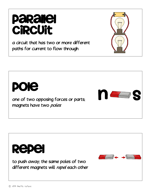# Repel

Pole

to push away; the same poles of two different magnets will repel each other

one of two opposing forces or parts;

magnets have two poles

a circuit that has two or more different paths for current to flow through

### Parallel **CiRCUit**





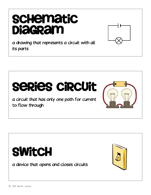# **schematic Diagram**



a drawing that represents a circuit with all its parts



a circuit that has only one path for current to flow through





a device that opens and closes circuits